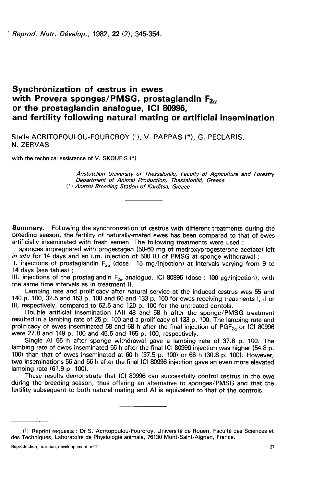Reprod. Nutr. Dévelop., 1982, 22 (2), 345-354.

# Synchronization of œstrus in ewes with Provera sponges/PMSG, prostaglandin F<sub>2 $\alpha$ </sub> or the prostaglandin analogue, ICI 80996, and fertility following natural mating or artificial insemination

Stella ACRITOPOULOU-FOURCROY (1), V. PAPPAS (\*), G. PECLARIS, **N. ZERVAS** 

with the technical assistance of V. SKOUFIS (\*)

Aristotelian University of Thessaloniki, Faculty of Agriculture and Forestry Department of Animal Production, Thessaloniki, Greece (\*) Animal Breeding Station of Karditsa, Greece

Summary. Following the synchronization of cestrus with different treatments during the breeding season, the fertility of naturally-mated ewes has been compared to that of ewes artificially inseminated with fresh semen. The following treatments were used :

I. sponges impregnated with progestagen (50-60 mg of medroxyprogesterone acetate) left in situ for 14 days and an i.m. injection of 500 IU of PMSG at sponge withdrawal ;

II. injections of prostaglandin  $F_{2n}$  (dose : 15 mg/injection) at intervals varying from 9 to 14 days (see tables) ;

III. injections of the prostaglandin  $F_{2\alpha}$  analogue, ICI 80996 (dose : 100 µg/injection), with the same time intervals as in treatment 11.

Lambing rate and prolificacy after natural service at the induced oestrus was 55 and 140 p. 100, 32.5 and 153 p. 100 and 60 and 133 p. 100 for ewes receiving treatments I, II or III, respectively, compared to 62.5 and 120 p. 100 for the untreated contols.

Double artificial insemination (AI) 48 and 58 h after the sponge/PMSG treatment resulted in a lambing rate of 25 p. 100 and a prolificacy of 133 p. 100. The lambing rate and prolificacy of ewes inseminated 58 and 68 h after the final injection of PGF<sub>2a</sub> or ICI 80996 were 27.8 and 149 p. 100 and 45.5 and 165 p. 100, respectively.

Single Al 55 h after sponge withdrawal gave a lambing rate of 37.8 p. 100. The lambing rate of ewes inseminated 56 h after the final ICI 80996 injection was higher (54.8 p.<br>100) than that of ewes inseminated at 60 h (37.5 p. 100) or 66 h (30.8 p. 100). However, two inseminations 56 and 66 h after the final ICI 80996 injection gave an even more elevated lambing rate (61.9 p. 100).

These results demonstrate that ICI 80996 can successfully control oestrus in the ewe during the breeding season, thus offering an alternative to sponges/PMSG and that the fertility subsequent to both natural mating and Al is equivalent to that of the controls.

<sup>(1)</sup> Reprint requests : Dr S. Acritopoulou-Fourcroy, Université de Rouen, Faculté des Sciences et des Techniques, Laboratoire de Physiologie animale, 76130 Mont-Saint-Aignan, France.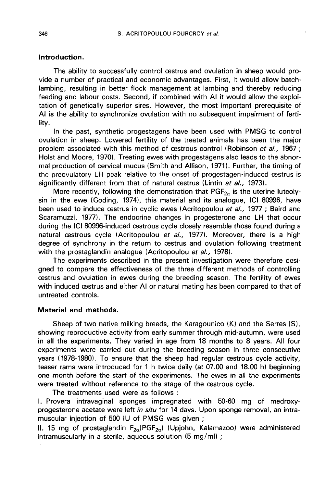# Introduction.

The ability to successfully control oestrus and ovulation in sheep would provide a number of practical and economic advantages. First, it would allow batchlambing, resulting in better flock management at lambing and thereby reducing feeding and labour costs. Second, if combined with Al it would allow the exploitation of genetically superior sires. However, the most important prerequisite of Al is the ability to synchronize ovulation with no subsequent impairment of fertility.

In the past, synthetic progestagens have been used with PMSG to control ovulation in sheep. Lowered fertility of the treated animals has been the major problem associated with this method of cestrous control (Robinson et al., 1967; Holst and Moore, 1970). Treating ewes with progestagens also leads to the abnormal production of cervical mucus (Smith and Allison, 1971). Further, the timing of the preovulatory LH peak relative to the onset of progestagen-induced oestrus is significantly different from that of natural cestrus (Lintin et al., 1973).

More recently, following the demonstration that  $PGF_{2\alpha}$  is the uterine luteolysin in the ewe (Goding, 1974), this material and its analogue, ICI 80996, have been used to induce cestrus in cyclic ewes (Acritopoulou et al., 1977; Baird and Scaramuzzi, 1977). The endocrine changes in progesterone and LH that occur during the ICI 80996-induced oestrous cycle closely resemble those found during a natural cestrous cycle (Acritopoulou et al., 1977). Moreover, there is a high degree of synchrony in the return to oestrus and ovulation following treatment with the prostaglandin analogue (Acritopoulou et al., 1978).

The experiments described in the present investigation were therefore designed to compare the effectiveness of the three different methods of controlling oestrus and ovulation in ewes during the breeding season. The fertility of ewes with induced oestrus and either Al or natural mating has been compared to that of untreated controls.

## Material and methods.

Sheep of two native milking breeds, the Karagounico (K) and the Serres (S), showing reproductive activity from early summer through mid-autumn, were used in all the experiments. They varied in age from 18 months to 8 years. All four experiments were carried out during the breeding season in three consecutive years (1978-1980). To ensure that the sheep had regular cestrous cycle activity, teaser rams were introduced for 1 h twice daily (at 07.00 and 18.00 h) beginning one month before the start of the experiments. The ewes in all the experiments were treated without reference to the stage of the oestrous cycle.

The treatments used were as follows :

I. Provera intravaginal sponges impregnated with 50-60 mg of medroxyprogesterone acetate were left in situ for 14 days. Upon sponge removal, an intramuscular injection of 500 IU of PMSG was given ; The treatments used were as follows :<br>
I. Provera intravaginal sponges impregnated with 50-60 mg of medroxy-<br>
progesterone acetate were left *in situ* for 14 days. Upon sponge removal, an intra-<br>
muscular injection of 500

intramuscularly in a sterile, aqueous solution (5 mg/ml) ;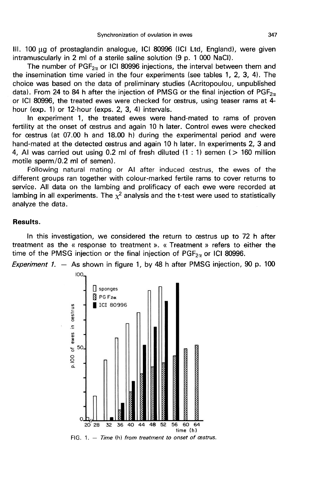III. 100  $\mu$ g of prostaglandin analogue, ICI 80996 (ICI Ltd, England), were given<br>intramuscularly in 2 ml of a sterile saline solution (9 p. 1 000 NaCl).<br>The number of PGF<sub>2x</sub> or ICI 80996 injections, the interval betwee

intramuscularly in 2 ml of a sterile saline solution (9 p. 1 000 NaCl).<br>The number of PGF<sub>20</sub> or ICI 80996 injections, the interval between them and the insemination time varied in the four experiments (see tables 1, 2, 3, 4). The choice was based on the data of preliminary studies (Acritopoulou, unpublished data). From 24 to 84 h after the injection of PMSG or the final injection of PGF<sub>2 $\alpha$ </sub> or ICI 80996, the treated ewes were checked for œstrus, using teaser rams at 4hour (exp. 1) or 12-hour (exps. 2, 3, 4) intervals.

In experiment 1, the treated ewes were hand-mated to rams of proven fertility at the onset of cestrus and again 10 h later. Control ewes were checked for oestrus (at 07.00 h and 18.00 h) during the experimental period and were hand-mated at the detected cestrus and again 10 h later. In experiments 2, 3 and 4, Al was carried out using 0.2 ml of fresh diluted (1 : 1) semen (> 160 million motile sperm/0.2 ml of semen).

Following natural mating or AI after induced cestrus, the ewes of the different groups ran together with colour-marked fertile rams to cover returns to service. All data on the lambing and prolificacy of each ewe were recorded at lambing in all experiments. The  $x^2$  analysis and the t-test were used to statistically analyze the data.

## Results.

In this investigation, we considered the return to oestrus up to 72 h after treatment as the « response to treatment ». « Treatment » refers to either the time of the PMSG injection or the final injection of  $PGF_{2\alpha}$  or ICI 80996.

Experiment 1.  $-$  As shown in figure 1, by 48 h after PMSG injection, 90 p. 100



FIG. 1.  $-$  Time (h) from treatment to onset of œstrus.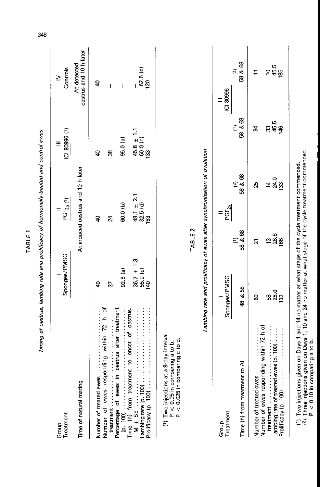| Group                                                                                                                                                           | Timing of oestrus, lambing rate and prolificacy of hormonally-treated and control ewes |                                     |                           | $\equiv$                          | $\geq$                                |
|-----------------------------------------------------------------------------------------------------------------------------------------------------------------|----------------------------------------------------------------------------------------|-------------------------------------|---------------------------|-----------------------------------|---------------------------------------|
| Treatment                                                                                                                                                       | Sponges/PMSG                                                                           | $\mathsf{PGF}_{2a}(\mathbf{1})$     |                           | ICI 80996 ( <sup>1</sup> )        | Controls                              |
| Time of natural mating                                                                                                                                          |                                                                                        | At induced oestrus and 10 h later   |                           |                                   | oestrus and 10 h later<br>At detected |
| Number of treated ewes                                                                                                                                          | $\overline{a}$                                                                         | ੩                                   |                           | ੩                                 | $\mathbf{f}$                          |
| $\tilde{z}$<br>Number of ewes responding within<br>treatment                                                                                                    | $\mathcal{C}$<br>h of                                                                  | $\overline{2}$                      |                           | జ                                 | $\mathsf{I}$                          |
| oestrus after treatment<br>$\begin{array}{c} \text{(p. 100)}\\ \text{Time (h)} \text{ from treatment to onset of oestus.} \end{array}$<br>Percentage of ewes in | $92.5$ (a)                                                                             | 60.0 (b)                            |                           | 95.0(a)                           | $\overline{1}$                        |
| <br>Lambing rate (p. 100)<br>Prolificacy (p. 100)<br>$M \pm SE$                                                                                                 | $\begin{array}{l} 36.7 \pm 1.3 \\ 55.0 \; \text{(c)} \\ 140 \end{array}$               | $48.1 \pm 2.1$<br>$32.5$ (d)<br>153 |                           | $45.8 \pm 1.1$<br>60.0 (c)<br>133 | 62.5 (c)<br>120                       |
| a 9-day interval.<br>$P < 0.05$ in comparing a to b.<br>$P < 0.025$ in comparing c to d.<br>(1) Two injections at                                               |                                                                                        |                                     |                           |                                   |                                       |
|                                                                                                                                                                 |                                                                                        | TABLE <sub>2</sub>                  |                           |                                   |                                       |
|                                                                                                                                                                 | Lambing rate and prolificacy of ewes after synchronisation of ovulation                |                                     |                           |                                   |                                       |
| Treatment<br>Group                                                                                                                                              | Sponges/PMSG                                                                           | $PGF_{2a}$                          |                           |                                   | ICI 80996                             |
| <b>IA</b> of<br>Time (h) from treatment                                                                                                                         | 48 & 58                                                                                | 58 & 68<br>€                        | 58 & 68<br>$\overline{c}$ | 58 & 68<br>$\in$                  | 58 & 68<br>ව                          |
| Number of treated ewes                                                                                                                                          | 8                                                                                      | $\overline{21}$                     | 25                        | z                                 | Ξ                                     |
| Number of ewes responding within 72 h of<br>Lambing rate of treated ewes (p. 100)<br>treatment<br>Prolificacy (p. 100).                                         | ន<br>និងនិ                                                                             | ួន<br>ខេត្ត                         | 14.0<br>18                | ន<br>មិន<br>រ                     | ្ត<br>កូម៉ូ<br>តូ                     |
|                                                                                                                                                                 |                                                                                        |                                     |                           |                                   |                                       |

348

TABLE 1

(1) Two injections given on Days 1 and 14 no matter at what stage of the cycle treatment commenced.<br>(2) Three injections given on Days 1, 10 and 24 no matter at what stage of the cycle treatment commenced.<br>P < 0.10 in com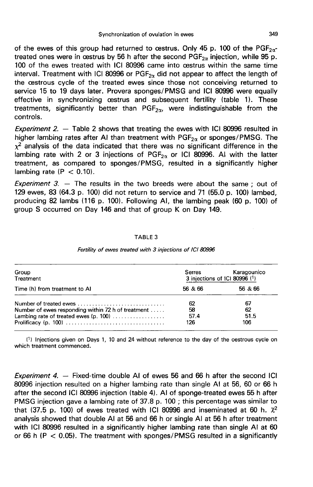of the ewes of this group had returned to cestrus. Only 45 p. 100 of the  $PGF_{2\alpha}$ of the ewes of this group had returned to cestrus. Only 45 p. 100 of the  $PGF_{2\alpha}$  interated ones were in cestrus by 56 h after the second  $PGF_{2\alpha}$  injection, while 95 p.<br>100 of the ewes treated with ICL80996 came into c 100 of the ewes treated with ICI 80996 came into oestrus within the same time treated ones were in cestrus by 56 h after the second PGF $_{2\alpha}$  injection, while 95 p.<br>100 of the ewes treated with ICI 80996 came into cestrus within the same time<br>interval. Treatment with ICI 80996 or PGF $_{2\alpha}$  did no the oestrous cycle of the treated ewes since those not conceiving returned to service 15 to 19 days later. Provera sponges/PMSG and ICI 80996 were equally effective in synchronizing oestrus and subsequent fertility (table 1). These treatments, significantly better than  $PGF_{2\alpha}$ , were indistinguishable from the controls.

*Experiment 2.*  $-$  Table 2 shows that treating the ewes with ICI 80996 resulted in higher lambing rates after AI than treatment with  $PGF_{2\alpha}$  or sponges/PMSG. The  $x^2$  analysis of the data indicated that there was no significant difference in the lambing rate with 2 or 3 injections of  $PGF_{2\alpha}$  or ICI 80996. Al with the latter treatment, as compared to sponges/PMSG, resulted in a significantly higher lambing rate  $(P < 0.10)$ .

Experiment  $3. -$  The results in the two breeds were about the same; out of 129 ewes, 83 (64.3 p. 100) did not return to service and 71 (55.0 p. 100) lambed, producing 82 lambs (116 p. 100). Following AI, the lambing peak (60 p. 100) of group S occurred on Day 146 and that of group K on Day 149.

### TABLE 3

| Group<br>Treatment                                                                                  | Karagounico<br>Serres<br>3 injections of ICI 80996 (1) |            |  |
|-----------------------------------------------------------------------------------------------------|--------------------------------------------------------|------------|--|
| Time (h) from treatment to AI                                                                       | 56 & 66                                                | 56 & 66    |  |
|                                                                                                     | 62                                                     | 67         |  |
| Number of ewes responding within 72 h of treatment                                                  | 58<br>57.4                                             | 62<br>51.5 |  |
| Prolificacy (p. 100) $\ldots \ldots \ldots \ldots \ldots \ldots \ldots \ldots \ldots \ldots \ldots$ | 126                                                    | 106        |  |

#### Fertility of ewes treated with 3 injections of ICI 80996

(1) Injections given on Days 1, 10 and 24 without reference to the day of the oestrous cycle on which treatment commenced.

Experiment 4.  $-$  Fixed-time double AI of ewes 56 and 66 h after the second ICI 80996 injection resulted on a higher lambing rate than single Al at 56, 60 or 66 h after the second ICI 80996 injection (table 4). Al of sponge-treated ewes 55 h after PMSG injection gave a lambing rate of 37.8 p. 100 ; this percentage was similar to that (37.5 p. 100) of ewes treated with ICI 80996 and inseminated at 60 h.  $\mathcal{X}^2$ analysis showed that double Al at 56 and 66 h or single Al at 56 h after treatment with ICI 80996 resulted in a significantly higher lambing rate than single Al at 60 or 66 h  $(P < 0.05)$ . The treatment with sponges/PMSG resulted in a significantly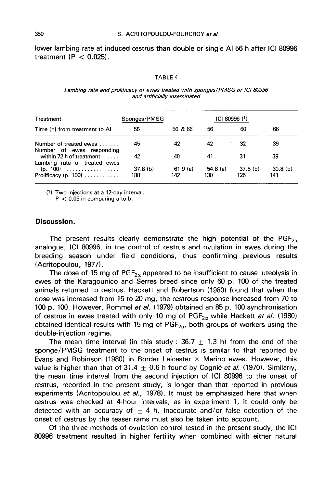lower lambing rate at induced oestrus than double or single Al 56 h after ICI 80996 treatment  $(P < 0.025)$ .

#### **TABLE 4**

#### Lambing rate and prolificacy of ewes treated with sponges/PMSG or ICI 80996 and artificially inseminated

| Treatment<br>Time (h) from treatment to AI               | Sponges/PMSG   | $ C $ 80996 $(1)$ |                |                            |                |  |
|----------------------------------------------------------|----------------|-------------------|----------------|----------------------------|----------------|--|
|                                                          | 55             | 56 & 66           | 56             | 60                         | 66             |  |
| Number of treated ewes<br>Number of ewes responding      | 45             | 42                | 42             | 32                         | 39             |  |
| within 72 h of treatment<br>Lambing rate of treated ewes | 42             | 40                | 41             | 31                         | 39             |  |
| Prolificacy (p. 100) $\ldots \ldots \ldots$              | 37.8(b)<br>188 | 61.9(a)<br>142    | 54.8(a)<br>130 | 37.5 <sub>(b)</sub><br>125 | 30.8(h)<br>141 |  |

(1) Two injections at a 12-day interval.  $P < 0.05$  in comparing a to b.

## Discussion.

The present results clearly demonstrate the high potential of the  $PGF_{2\alpha}$ analogue, ICI 80996, in the control of oestrus and ovulation in ewes during the breeding season under field conditions, thus confirming previous results (Acritopoulou, 1977).

The dose of 15 mg of  $PGF_{2\alpha}$  appeared to be insufficient to cause luteolysis in ewes of the Karagounico and Serres breed since only 60 p. 100 of the treated animals returned to oestrus. Hackett and Robertson (1980) found that when the dose was increased from 15 to 20 mg, the oestrous response increased from 70 to 100 p. 100. However, Rommel et al. (1979) obtained an 85 p. 100 synchronisation dose was increased from 15 to 20 mg, the œstrous response increased from 70 to 100 p. 100. However, Rommel *et al.* (1979) obtained an 85 p. 100 synchronisation of œstrus in ewes treated with only 10 mg of  $\text{PGF}_{2\alpha}$  wh of cestrus in ewes treated with only 10 mg of  $PGF_{2\alpha}$  while Hackett *et al.* (1980) obtained identical results with 15 mg of PGF<sub>2 $\alpha$ </sub>, both groups of workers using the double-injection regime.

The mean time interval (in this study : 36.7  $\pm$  1.3 h) from the end of the sponge/PMSG treatment to the onset of oestrus is similar to that reported by Evans and Robinson (1980) in Border Leicester  $\times$  Merino ewes. However, this value is higher than that of 31.4  $\pm$  0.6 h found by Cognie *et al.* (1970). Similarly, the mean time interval from the second injection of ICI 80996 to the onset of oestrus, recorded in the present study, is longer than that reported in previous experiments (Acritopoulou et al., 1978). It must be emphasized here that when oestrus was checked at 4-hour intervals, as in experiment 1, it could only be detected with an accuracy of  $+4$  h. Inaccurate and/or false detection of the onset of oestrus by the teaser rams must also be taken into account.

Of the three methods of ovulation control tested in the present study, the ICI 80996 treatment resulted in higher fertility when combined with either natural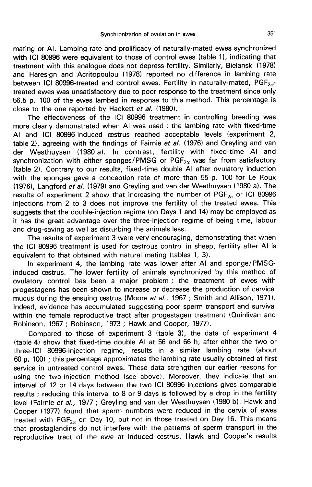mating or AI. Lambing rate and prolificacy of naturally-mated ewes synchronized with ICI 80996 were equivalent to those of control ewes (table 1), indicating that treatment with this analogue does not depress fertility. Similarly, Bielanski (1978)<br>and Haresign and Acritopoulou (1978) reported no difference in lambing rate<br>between ICI 80996-treated and control ewes. Fertility in nat and Haresign and Acritopoulou (1978) reported no difference in lambing rate between ICI 80996-treated and control ewes. Fertility in naturally-mated,  $PGF_{2\alpha}$ treated ewes was unsatisfactory due to poor response to the treatment since only 56.5 p. 100 of the ewes lambed in response to this method. This percentage is close to the one reported by Hackett et al. (1980).

The effectiveness of the ICI 80996 treatment in controlling breeding was more clearly demonstrated when Al was used ; the lambing rate with fixed-time Al and ICI 80996-induced oestrus reached acceptable levels (experiment 2, table 2), agreeing with the findings of Fairnie et al. (1976) and Greyling and van der Westhuysen (1980 a). In contrast, fertility with fixed-time Al and table 2), agreeing with the findings of Fairnie *et al.* (1976) and Greyling and van<br>der Westhuysen (1980 a). In contrast, fertility with fixed-time AI and<br>synchronization with either sponges/PMSG or PGF<sub>2x</sub> was far from (table 2). Contrary to our results, fixed-time double Al after ovulatory induction with the sponges gave a conception rate of more than 55 p. 100 for Le Roux (1976), Langford et al. (1979) and Greyling and van der Westhuysen (1980 a). The results of experiment 2 show that increasing the number of  $PGF_{2\alpha}$  or ICI 80996 injections from 2 to 3 does not improve the fertility of the treated ewes. This suggests that the double-injection regime (on Days 1 and 14) may be employed as it has the great advantage over the three-injection regime of being time, labour and drug-saving as well as disturbing the animals less.

The results of experiment 3 were very encouraging, demonstrating that when the ICI 80996 treatment is used for oestrous control in sheep, fertility after Al is equivalent to that obtained with natural mating (tables 1, 3).

In experiment 4, the lambing rate was lower after Al and sponge/PMSGinduced oestrus. The lower fertility of animals synchronized by this method of ovulatory control bas been a major problem ; the treatment of ewes with progestagens has been shown to increase or decrease the production of cervical mucus during the ensuing cestrus (Moore et al., 1967; Smith and Allison, 1971). Indeed, evidence has accumulated suggesting poor sperm transport and survival within the female reproductive tract after progestagen treatment (Quinlivan and Robinson, 1967 ; Robinson, 1973 ; Hawk and Cooper, 1977).

Compared to those of experiment 3 (table 3), the data of experiment 4 (table 4) show that fixed-time double Al at 56 and 66 h, after either the two or three-ICI 80996-injection regime, results in a similar lambing rate (about 60 p. 100) ; this percentage approximates the lambing rate usually obtained at first service in untreated control ewes. These data strengthen our earlier reasons for using the two-injection method (see above). Moreover, they indicate that an interval of 12 or 14 days between the two ICI 80996 injections gives comparable results ; reducing this interval to 8 or 9 days is followed by a drop in the fertility level (Fairnie et al., 1977 ; Greyling and van der Westhuysen (1980 b). Hawk and Cooper (1977) found that sperm numbers were reduced in the cervix of ewes treated with  $PGF_{2\alpha}$  on Day 10, but not in those treated on Day 16. This means that prostaglandins do not interfere with the patterns of sperm transport in the reproductive tract of the ewe at induced oestrus. Hawk and Cooper's results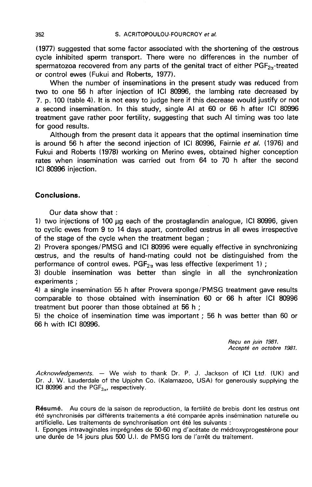(1977) suggested that some factor associated with the shortening of the oestrous cycle inhibited sperm transport. There were no differences in the number of spermatozoa recovered from any parts of the genital tract of either  $PGF_{2\alpha}$ -treated or control ewes (Fukui and Roberts, 1977).

When the number of inseminations in the present study was reduced from two to one 56 h after injection of ICI 80996, the lambing rate decreased by 7. p. 100 (table 4). It is not easy to judge here if this decrease would justify or not a second insemination. In this study, single Al at 60 or 66 h after ICI 80996 treatment gave rather poor fertility, suggesting that such Al timing was too late for good results.

Although from the present data it appears that the optimal insemination time is around 56 h after the second injection of ICI 80996, Fairnie et al. (1976) and Fukui and Roberts (1978) working on Merino ewes, obtained higher conception rates when insemination was carried out from 64 to 70 h after the second ICI 80996 injection.

## Conclusions.

Our data show that :

1) two injections of 100  $\mu$ g each of the prostaglandin analogue, ICI 80996, given to cyclic ewes from 9 to 14 days apart, controlled oestrus in all ewes irrespective of the stage of the cycle when the treatment began ;

2) Provera sponges/PMSG and ICI 80996 were equally effective in synchronizing oestrus, and the results of hand-mating could not be distinguished from the performance of control ewes. PGF<sub>2 $\alpha$ </sub> was less effective (experiment 1) ;

3) double insemination was better than single in all the synchronization experiments ;

4) a single insemination 55 h after Provera sponge/PMSG treatment gave results comparable to those obtained with insemination 60 or 66 h after ICI 80996 treatment but poorer than those obtained at 56 h ;

5) the choice of insemination time was important ; 56 h was better than 60 or 66 h with ICI 80996.

> Reçu en juin 1981. Accepte en octobre 1981.

Acknowledgements. ― We wish to thank Dr. P. J. Jackson of ICI Ltd. (UK) and Dr. J. W. Lauderdale of the Upjohn Co. (Kalamazoo, USA) for generously supplying the ICI 80996 and the PGF $_{2\alpha}$ , respectively.

Résumé. Au cours de la saison de reproduction, la fertilité de brebis dont les œstrus ont été synchronisés par différents traitements a été comparée après insémination naturelle ou artificielle. Les traitements de synchronisation ont été les suivants :

I. Eponges intravaginales imprégnées de 50-60 mg d'acétate de médroxyprogestérone pour une durée de 14 jours plus 500 U.I. de PMSG lors de l'arrêt du traitement.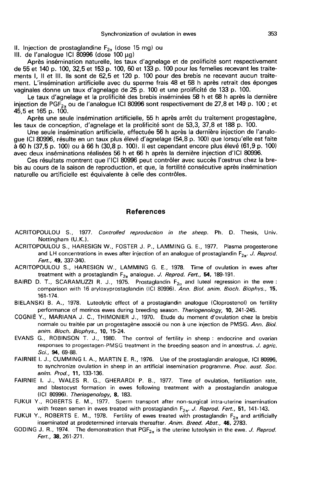II. Injection de prostaglandine  $F_{2\alpha}$  (dose 15 mg) ou

III. de l'analogue ICI  $80996$  (dose  $100 \mu g$ )

Après insémination naturelle, les taux d'agnelage et de prolificité sont respectivement de 55 et 140 p. 100, 32,5 et 153 p. 100, 60 et 133 p. 100 pour les femelles recevant les traitements 1, Il et III. Ils sont de 62,5 et 120 p. 100 pour des brebis ne recevant aucun traitement. L'insémination artificielle avec du sperme frais 48 et 58 h après retrait des éponges vaginales donne un taux d'agnelage de 25 p. 100 et une prolificité de 133 p. 100.

Le taux d'agnelage et la prolificité des brebis inséminées 58 h et 68 h après la dernière injection de PGF<sub>2 $\alpha$ </sub> ou de l'analogue ICI 80996 sont respectivement de 27,8 et 149 p. 100 ; et 45,5 et 165 p. 100.

Après une seule insémination artificielle, 55 h après arrêt du traitement progestagène, les taux de conception, d'agnelage et la prolificité sont de 53,3, 37,8 et 188 p. 100.

Une seule insémination artificielle, effectuée 56 h après la dernière injection de l'analogue ICI 80996, résulte en un taux plus élevé d'agnelage (54,8 p. 100) que lorsqu'elle est faite à 60 h (37,5 p. 100) ou à 66 h (30,8 p. 100). Il est cependant encore plus élevé (61,9 p. 100) avec deux inséminations réalisées 56 h et 66 h après la dernière injection d'ICI 80996.

Ces résultats montrent que l'ICI 80996 peut contrôler avec succès l'oestrus chez la brebis au cours de la saison de reproduction, et que, la fertilité consécutive après insémination naturelle ou artificielle est équivalente à celle des contrôles.

#### References

- ACRITOPOULOU S., 1977. Controlled reproduction in the sheep. Ph. D. Thesis, Univ. Nottingham (U.K.).
- ACRITOPOULOU S., HARESIGN W., FOSTER J. P., LAMMING G. E., 1977. Plasma progesterone and LH concentrations in ewes after injection of an analogue of prostaglandin  $F_{2n}$ . J. Reprod. Fert., 49, 337-340.
- ACRITOPOULOU S., HARESIGN W., LAMMING G. E., 1978. Time of ovulation in ewes after treatment with a prostaglandin  $F_{2\alpha}$  analogue. J. Reprod. Fert., 54, 189-191.
- BAIRD D. T., SCARAMUZZI R. J., 1975. Prostaglandin  $F_{2\alpha}$  and luteal regression in the ewe : comparison with 16 aryloxyprostaglandin (ICI 80996). Ann. Biol. anim. Bioch. Biophys., 15, 161-174.
- BIELANSKI B. A., 1978. Luteolytic effect of a prostaglandin analogue (Cloprostenol) on fertility performance of merinos ewes during breeding season. Theriogenology, 10, 241-245.
- COGNIE Y., MARIANA J. C., THIMONIER J., 1970. Etude du moment d'ovulation chez la brebis normale ou traitée par un progestagène associé ou non à une injection de PMSG. Ann. Biol. anim. Bioch. Biophys., 10, 15-24.
- EVANS G., ROBINSON T. J., 1980. The control of fertility in sheep : endocrine and ovarian responses to progestagen-PMSG treatment in the breeding season and in anœstrus. J. agric. Sci., 94, 69-88.
- FAIRNIE I. J., CUMMING I. A., MARTIN E. R., 1976. Use of the prostaglandin analogue, ICI 80996, to synchronize ovulation in sheep in an artificial insemination programme. Proc. aust. Soc. anim. Prod., 11, 133-136.
- FAIRNIE I. J., WALES R. G., GHERARDI P. B., 1977. Time of ovulation, fertilization rate, and blastocyst formation in ewes following treatment with a prostaglandin analogue  $(ICI 80996)$ . Theriogenology, 8, 183.
- FUKUI Y., ROBERTS E. M., 1977. Sperm transport after non-surgical intra-uterine insemination with frozen semen in ewes treated with prostaglandin  $F_{2\alpha}$ . J. Reprod. Fert., 51, 141-143.
- FUKUI Y., ROBERTS E. M., 1978. Fertility of ewes treated with prostaglandin  $F_{2\alpha}$  and artificially inseminated at predetermined intervals thereafter. Anim. Breed. Abst., 46, 2783.
- GODING J. R., 1974. The demonstration that  $PGF_{2\alpha}$  is the uterine luteolysin in the ewe. J. Reprod. Fert., 38, 261-271.